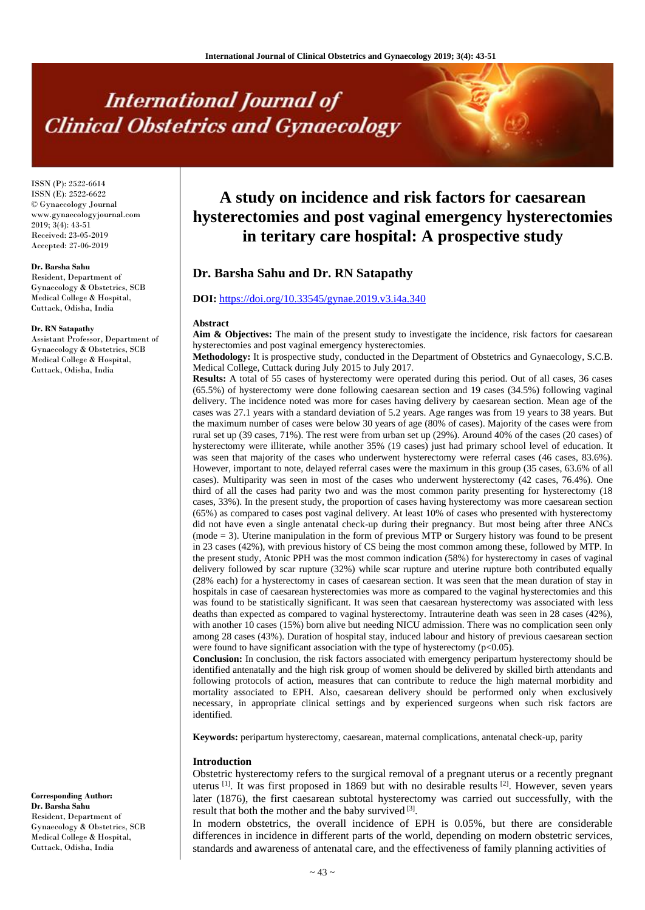# **International Journal of Clinical Obstetrics and Gynaecology**

ISSN (P): 2522-6614 ISSN (E): 2522-6622 © Gynaecology Journal www.gynaecologyjournal.com  $2019$ ;  $3(4)$ ; 43-51 Received: 23-05-2019 Accepted: 27-06-2019

# **Dr. Barsha Sahu**

Resident, Department of Gynaecology & Obstetrics, SCB Medical College & Hospital, Cuttack, Odisha, India

#### **Dr. RN Satapathy**

Assistant Professor, Department of Gynaecology & Obstetrics, SCB Medical College & Hospital, Cuttack, Odisha, India

**Corresponding Author: Dr. Barsha Sahu** Resident, Department of Gynaecology & Obstetrics, SCB Medical College & Hospital, Cuttack, Odisha, India

# **A study on incidence and risk factors for caesarean hysterectomies and post vaginal emergency hysterectomies in teritary care hospital: A prospective study**

# **Dr. Barsha Sahu and Dr. RN Satapathy**

#### **DOI:** <https://doi.org/10.33545/gynae.2019.v3.i4a.340>

#### **Abstract**

Aim & Objectives: The main of the present study to investigate the incidence, risk factors for caesarean hysterectomies and post vaginal emergency hysterectomies.

**Methodology:** It is prospective study, conducted in the Department of Obstetrics and Gynaecology, S.C.B. Medical College, Cuttack during July 2015 to July 2017.

**Results:** A total of 55 cases of hysterectomy were operated during this period. Out of all cases, 36 cases (65.5%) of hysterectomy were done following caesarean section and 19 cases (34.5%) following vaginal delivery. The incidence noted was more for cases having delivery by caesarean section. Mean age of the cases was 27.1 years with a standard deviation of 5.2 years. Age ranges was from 19 years to 38 years. But the maximum number of cases were below 30 years of age (80% of cases). Majority of the cases were from rural set up (39 cases, 71%). The rest were from urban set up (29%). Around 40% of the cases (20 cases) of hysterectomy were illiterate, while another 35% (19 cases) just had primary school level of education. It was seen that majority of the cases who underwent hysterectomy were referral cases (46 cases, 83.6%). However, important to note, delayed referral cases were the maximum in this group (35 cases, 63.6% of all cases). Multiparity was seen in most of the cases who underwent hysterectomy (42 cases, 76.4%). One third of all the cases had parity two and was the most common parity presenting for hysterectomy (18 cases, 33%). In the present study, the proportion of cases having hysterectomy was more caesarean section (65%) as compared to cases post vaginal delivery. At least 10% of cases who presented with hysterectomy did not have even a single antenatal check-up during their pregnancy. But most being after three ANCs (mode = 3). Uterine manipulation in the form of previous MTP or Surgery history was found to be present in 23 cases (42%), with previous history of CS being the most common among these, followed by MTP. In the present study, Atonic PPH was the most common indication (58%) for hysterectomy in cases of vaginal delivery followed by scar rupture (32%) while scar rupture and uterine rupture both contributed equally (28% each) for a hysterectomy in cases of caesarean section. It was seen that the mean duration of stay in hospitals in case of caesarean hysterectomies was more as compared to the vaginal hysterectomies and this was found to be statistically significant. It was seen that caesarean hysterectomy was associated with less deaths than expected as compared to vaginal hysterectomy. Intrauterine death was seen in 28 cases (42%), with another 10 cases (15%) born alive but needing NICU admission. There was no complication seen only among 28 cases (43%). Duration of hospital stay, induced labour and history of previous caesarean section were found to have significant association with the type of hysterectomy  $(p<0.05)$ .

**Conclusion:** In conclusion, the risk factors associated with emergency peripartum hysterectomy should be identified antenatally and the high risk group of women should be delivered by skilled birth attendants and following protocols of action, measures that can contribute to reduce the high maternal morbidity and mortality associated to EPH. Also, caesarean delivery should be performed only when exclusively necessary, in appropriate clinical settings and by experienced surgeons when such risk factors are identified.

**Keywords:** peripartum hysterectomy, caesarean, maternal complications, antenatal check-up, parity

# **Introduction**

Obstetric hysterectomy refers to the surgical removal of a pregnant uterus or a recently pregnant uterus [1]. It was first proposed in 1869 but with no desirable results [2]. However, seven years later (1876), the first caesarean subtotal hysterectomy was carried out successfully, with the result that both the mother and the baby survived [3].

In modern obstetrics, the overall incidence of EPH is 0.05%, but there are considerable differences in incidence in different parts of the world, depending on modern obstetric services, standards and awareness of antenatal care, and the effectiveness of family planning activities of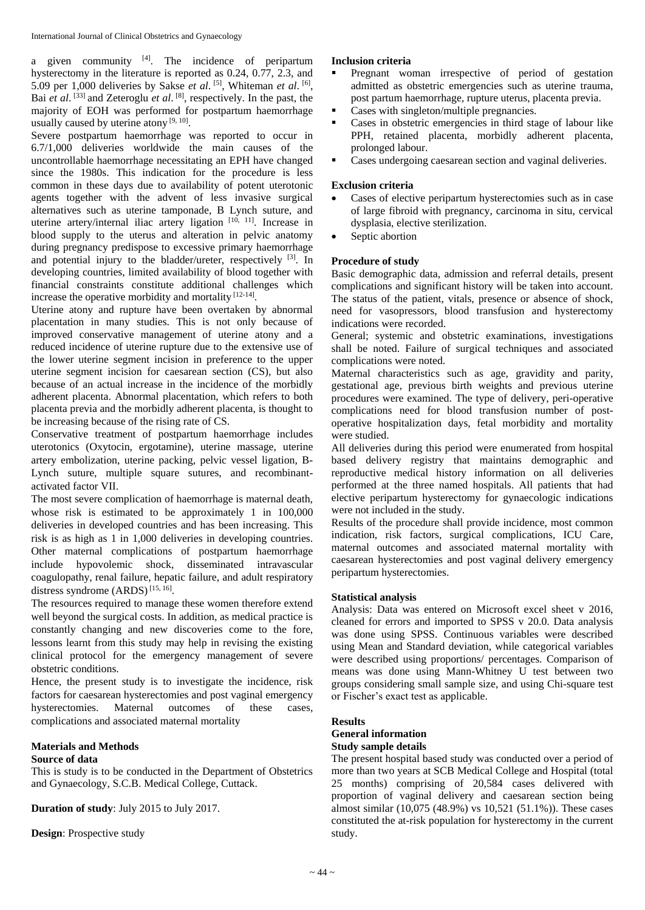a given community  $[4]$ . The incidence of peripartum hysterectomy in the literature is reported as 0.24, 0.77, 2.3, and 5.09 per 1,000 deliveries by Sakse *et al*. [5], Whiteman *et al.* [6], Bai *et al*. [33] and Zeteroglu *et al*. [8], respectively. In the past, the majority of EOH was performed for postpartum haemorrhage usually caused by uterine atony [9, 10].

Severe postpartum haemorrhage was reported to occur in 6.7/1,000 deliveries worldwide the main causes of the uncontrollable haemorrhage necessitating an EPH have changed since the 1980s. This indication for the procedure is less common in these days due to availability of potent uterotonic agents together with the advent of less invasive surgical alternatives such as uterine tamponade, B Lynch suture, and uterine artery/internal iliac artery ligation [10, 11]. Increase in blood supply to the uterus and alteration in pelvic anatomy during pregnancy predispose to excessive primary haemorrhage and potential injury to the bladder/ureter, respectively  $[3]$ . In developing countries, limited availability of blood together with financial constraints constitute additional challenges which increase the operative morbidity and mortality [12-14].

Uterine atony and rupture have been overtaken by abnormal placentation in many studies. This is not only because of improved conservative management of uterine atony and a reduced incidence of uterine rupture due to the extensive use of the lower uterine segment incision in preference to the upper uterine segment incision for caesarean section (CS), but also because of an actual increase in the incidence of the morbidly adherent placenta. Abnormal placentation, which refers to both placenta previa and the morbidly adherent placenta, is thought to be increasing because of the rising rate of CS.

Conservative treatment of postpartum haemorrhage includes uterotonics (Oxytocin, ergotamine), uterine massage, uterine artery embolization, uterine packing, pelvic vessel ligation, B-Lynch suture, multiple square sutures, and recombinantactivated factor VII.

The most severe complication of haemorrhage is maternal death, whose risk is estimated to be approximately 1 in 100,000 deliveries in developed countries and has been increasing. This risk is as high as 1 in 1,000 deliveries in developing countries. Other maternal complications of postpartum haemorrhage include hypovolemic shock, disseminated intravascular coagulopathy, renal failure, hepatic failure, and adult respiratory distress syndrome  $(ARDS)^{[15, 16]}$ .

The resources required to manage these women therefore extend well beyond the surgical costs. In addition, as medical practice is constantly changing and new discoveries come to the fore, lessons learnt from this study may help in revising the existing clinical protocol for the emergency management of severe obstetric conditions.

Hence, the present study is to investigate the incidence, risk factors for caesarean hysterectomies and post vaginal emergency hysterectomies. Maternal outcomes of these cases, complications and associated maternal mortality

# **Materials and Methods**

# **Source of data**

This is study is to be conducted in the Department of Obstetrics and Gynaecology, S.C.B. Medical College, Cuttack.

**Duration of study**: July 2015 to July 2017.

**Design**: Prospective study

# **Inclusion criteria**

- Pregnant woman irrespective of period of gestation admitted as obstetric emergencies such as uterine trauma, post partum haemorrhage, rupture uterus, placenta previa.
- Cases with singleton/multiple pregnancies.
- Cases in obstetric emergencies in third stage of labour like PPH, retained placenta, morbidly adherent placenta, prolonged labour.
- Cases undergoing caesarean section and vaginal deliveries.

# **Exclusion criteria**

- Cases of elective peripartum hysterectomies such as in case of large fibroid with pregnancy, carcinoma in situ, cervical dysplasia, elective sterilization.
- Septic abortion

# **Procedure of study**

Basic demographic data, admission and referral details, present complications and significant history will be taken into account. The status of the patient, vitals, presence or absence of shock, need for vasopressors, blood transfusion and hysterectomy indications were recorded.

General; systemic and obstetric examinations, investigations shall be noted. Failure of surgical techniques and associated complications were noted.

Maternal characteristics such as age, gravidity and parity, gestational age, previous birth weights and previous uterine procedures were examined. The type of delivery, peri-operative complications need for blood transfusion number of postoperative hospitalization days, fetal morbidity and mortality were studied.

All deliveries during this period were enumerated from hospital based delivery registry that maintains demographic and reproductive medical history information on all deliveries performed at the three named hospitals. All patients that had elective peripartum hysterectomy for gynaecologic indications were not included in the study.

Results of the procedure shall provide incidence, most common indication, risk factors, surgical complications, ICU Care, maternal outcomes and associated maternal mortality with caesarean hysterectomies and post vaginal delivery emergency peripartum hysterectomies.

# **Statistical analysis**

Analysis: Data was entered on Microsoft excel sheet v 2016, cleaned for errors and imported to SPSS v 20.0. Data analysis was done using SPSS. Continuous variables were described using Mean and Standard deviation, while categorical variables were described using proportions/ percentages. Comparison of means was done using Mann-Whitney U test between two groups considering small sample size, and using Chi-square test or Fischer's exact test as applicable.

# **Results**

#### **General information Study sample details**

The present hospital based study was conducted over a period of more than two years at SCB Medical College and Hospital (total 25 months) comprising of 20,584 cases delivered with proportion of vaginal delivery and caesarean section being almost similar (10,075 (48.9%) vs 10,521 (51.1%)). These cases constituted the at-risk population for hysterectomy in the current study.

 $\sim$  44  $\sim$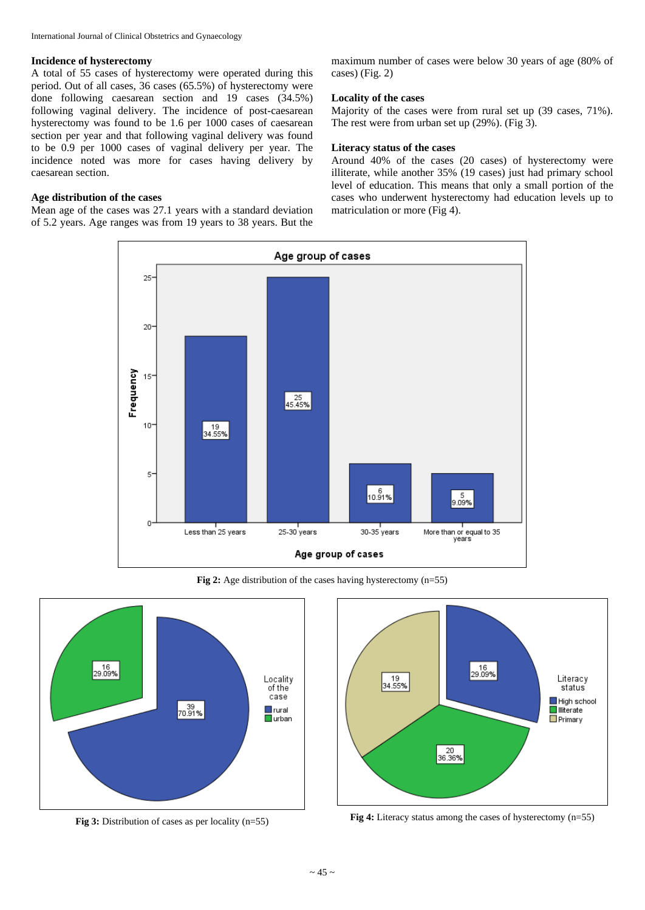# **Incidence of hysterectomy**

A total of 55 cases of hysterectomy were operated during this period. Out of all cases, 36 cases (65.5%) of hysterectomy were done following caesarean section and 19 cases (34.5%) following vaginal delivery. The incidence of post-caesarean hysterectomy was found to be 1.6 per 1000 cases of caesarean section per year and that following vaginal delivery was found to be 0.9 per 1000 cases of vaginal delivery per year. The incidence noted was more for cases having delivery by caesarean section.

# **Age distribution of the cases**

Mean age of the cases was 27.1 years with a standard deviation of 5.2 years. Age ranges was from 19 years to 38 years. But the maximum number of cases were below 30 years of age (80% of cases) (Fig. 2)

#### **Locality of the cases**

Majority of the cases were from rural set up (39 cases, 71%). The rest were from urban set up (29%). (Fig 3).

#### **Literacy status of the cases**

Around 40% of the cases (20 cases) of hysterectomy were illiterate, while another 35% (19 cases) just had primary school level of education. This means that only a small portion of the cases who underwent hysterectomy had education levels up to matriculation or more (Fig 4).



**Fig 2:** Age distribution of the cases having hysterectomy (n=55)





**Fig 4:** Literacy status among the cases of hysterectomy (n=55) **Fig 4:** Literacy status among the cases of hysterectomy (n=55)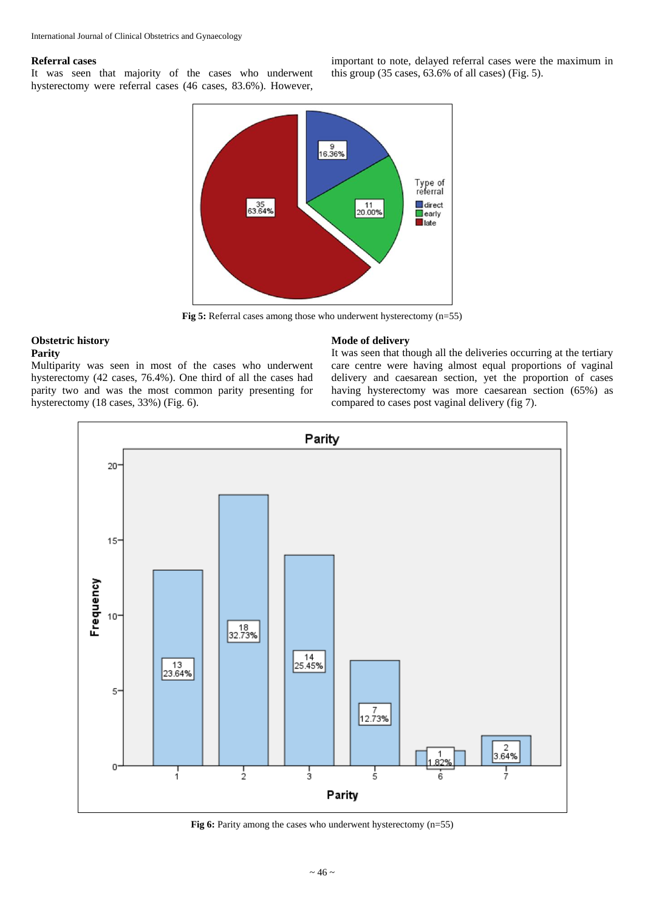#### **Referral cases**

It was seen that majority of the cases who underwent hysterectomy were referral cases (46 cases, 83.6%). However, important to note, delayed referral cases were the maximum in this group (35 cases, 63.6% of all cases) (Fig. 5).



**Fig 5:** Referral cases among those who underwent hysterectomy (n=55)

# **Obstetric history**

# **Parity**

Multiparity was seen in most of the cases who underwent hysterectomy (42 cases, 76.4%). One third of all the cases had parity two and was the most common parity presenting for hysterectomy (18 cases, 33%) (Fig. 6).

#### **Mode of delivery**

It was seen that though all the deliveries occurring at the tertiary care centre were having almost equal proportions of vaginal delivery and caesarean section, yet the proportion of cases having hysterectomy was more caesarean section (65%) as compared to cases post vaginal delivery (fig 7).



Fig 6: Parity among the cases who underwent hysterectomy (n=55)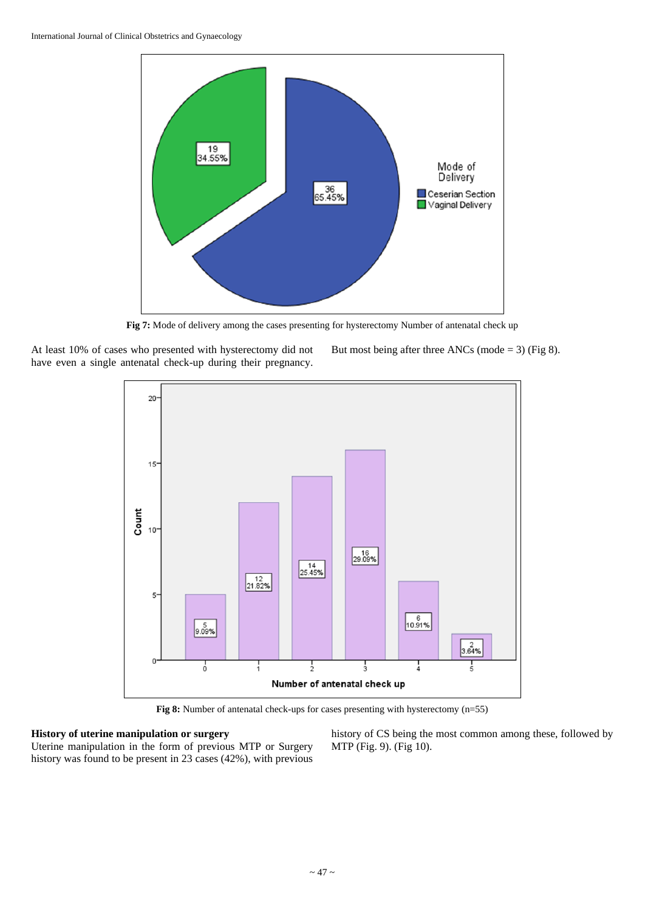

Fig 7: Mode of delivery among the cases presenting for hysterectomy Number of antenatal check up

At least 10% of cases who presented with hysterectomy did not have even a single antenatal check-up during their pregnancy. But most being after three ANCs (mode = 3) (Fig 8).



**Fig 8:** Number of antenatal check-ups for cases presenting with hysterectomy (n=55)

# **History of uterine manipulation or surgery**

Uterine manipulation in the form of previous MTP or Surgery history was found to be present in 23 cases (42%), with previous history of CS being the most common among these, followed by MTP (Fig. 9). (Fig 10).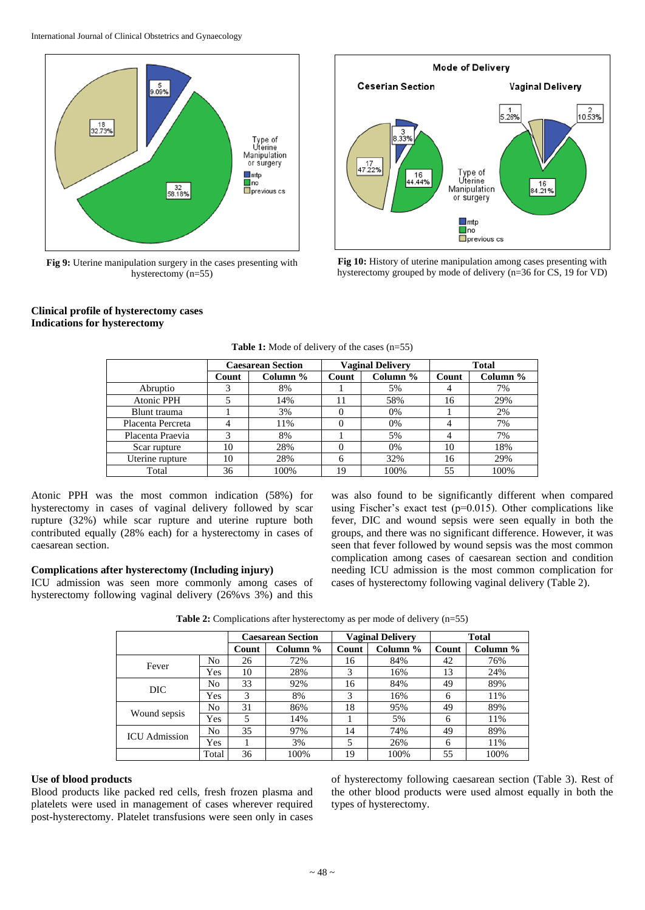

**Fig 9:** Uterine manipulation surgery in the cases presenting with hysterectomy (n=55)



**Fig 10:** History of uterine manipulation among cases presenting with hysterectomy grouped by mode of delivery (n=36 for CS, 19 for VD)

# **Clinical profile of hysterectomy cases Indications for hysterectomy**

|                   | <b>Caesarean Section</b> |          | <b>Vaginal Delivery</b> |          | <b>Total</b> |          |
|-------------------|--------------------------|----------|-------------------------|----------|--------------|----------|
|                   | Count                    | Column % | Count                   | Column % | Count        | Column % |
| Abruptio          |                          | 8%       |                         | 5%       |              | 7%       |
| <b>Atonic PPH</b> |                          | 14%      | 11                      | 58%      | 16           | 29%      |
| Blunt trauma      |                          | 3%       |                         | 0%       |              | 2%       |
| Placenta Percreta |                          | 11%      |                         | 0%       |              | 7%       |
| Placenta Praevia  | 3                        | 8%       |                         | 5%       |              | 7%       |
| Scar rupture      | 10                       | 28%      |                         | 0%       | 10           | 18%      |
| Uterine rupture   | 10                       | 28%      | 6                       | 32%      | 16           | 29%      |
| Total             | 36                       | 100%     | 19                      | 100%     | 55           | 100%     |

**Table 1:** Mode of delivery of the cases (n=55)

Atonic PPH was the most common indication (58%) for hysterectomy in cases of vaginal delivery followed by scar rupture (32%) while scar rupture and uterine rupture both contributed equally (28% each) for a hysterectomy in cases of caesarean section.

# **Complications after hysterectomy (Including injury)**

ICU admission was seen more commonly among cases of hysterectomy following vaginal delivery (26%vs 3%) and this

was also found to be significantly different when compared using Fischer's exact test (p=0.015). Other complications like fever, DIC and wound sepsis were seen equally in both the groups, and there was no significant difference. However, it was seen that fever followed by wound sepsis was the most common complication among cases of caesarean section and condition needing ICU admission is the most common complication for cases of hysterectomy following vaginal delivery (Table 2).

|                      |       | <b>Caesarean Section</b> |          | <b>Vaginal Delivery</b> |          | <b>Total</b> |          |
|----------------------|-------|--------------------------|----------|-------------------------|----------|--------------|----------|
|                      |       | Count                    | Column % | Count                   | Column % | Count        | Column % |
| Fever                | No    | 26                       | 72%      | 16                      | 84%      | 42           | 76%      |
|                      | Yes   | 10                       | 28%      | 3                       | 16%      | 13           | 24%      |
| DIC.                 | No    | 33                       | 92%      | 16                      | 84%      | 49           | 89%      |
|                      | Yes   | 3                        | 8%       | 3                       | 16%      | 6            | 11%      |
|                      | No    | 31                       | 86%      | 18                      | 95%      | 49           | 89%      |
| Wound sepsis         | Yes   | 5                        | 14%      |                         | 5%       | 6            | 11%      |
| <b>ICU</b> Admission | No    | 35                       | 97%      | 14                      | 74%      | 49           | 89%      |
|                      | Yes   |                          | 3%       | 5                       | 26%      | 6            | 11%      |
|                      | Total | 36                       | 100%     | 19                      | 100%     | 55           | 100%     |

**Table 2:** Complications after hysterectomy as per mode of delivery (n=55)

# **Use of blood products**

Blood products like packed red cells, fresh frozen plasma and platelets were used in management of cases wherever required post-hysterectomy. Platelet transfusions were seen only in cases

of hysterectomy following caesarean section (Table 3). Rest of the other blood products were used almost equally in both the types of hysterectomy.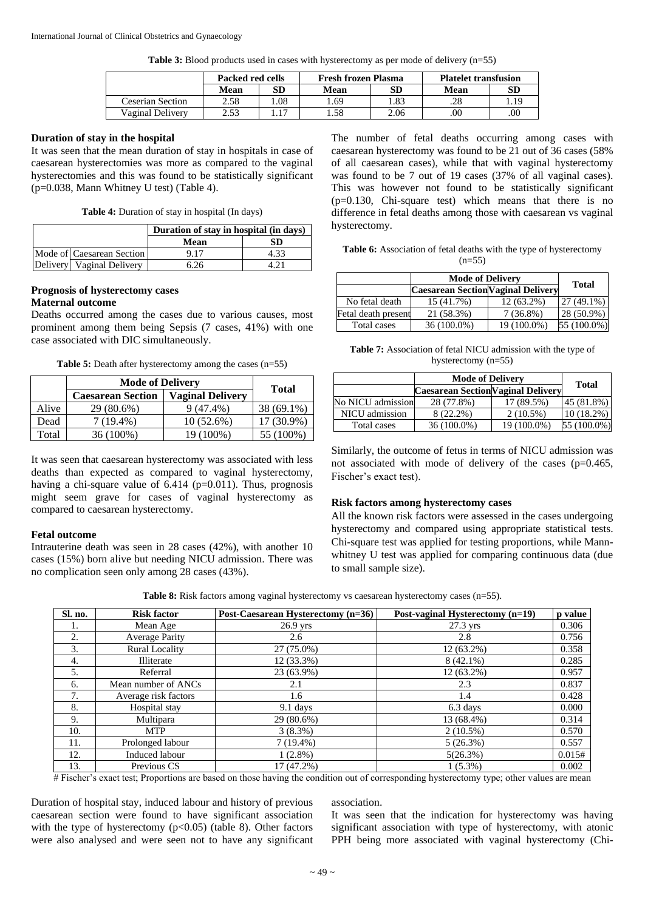**Table 3:** Blood products used in cases with hysterectomy as per mode of delivery (n=55)

|                  | Packed red cells |     | <b>Fresh frozen Plasma</b> |      | <b>Platelet transfusion</b> |           |
|------------------|------------------|-----|----------------------------|------|-----------------------------|-----------|
|                  | Mean             | SD  | Mean                       | SD   | Mean                        | <b>SD</b> |
| Ceserian Section | 2.58             | .08 | .69                        | .83  | .28                         | 1.19      |
| Vaginal Delivery | 2.53             | 17  | .58                        | 2.06 | .00                         | .00       |

# **Duration of stay in the hospital**

It was seen that the mean duration of stay in hospitals in case of caesarean hysterectomies was more as compared to the vaginal hysterectomies and this was found to be statistically significant (p=0.038, Mann Whitney U test) (Table 4).

|  | Table 4: Duration of stay in hospital (In days) |  |  |  |  |
|--|-------------------------------------------------|--|--|--|--|
|--|-------------------------------------------------|--|--|--|--|

|                           | Duration of stay in hospital (in days) |      |
|---------------------------|----------------------------------------|------|
|                           | Mean                                   | SD   |
| Mode of Caesarean Section | 9.17                                   | 4.33 |
| Delivery Vaginal Delivery | 6.26                                   |      |

# **Prognosis of hysterectomy cases**

# **Maternal outcome**

Deaths occurred among the cases due to various causes, most prominent among them being Sepsis (7 cases, 41%) with one case associated with DIC simultaneously.

**Table 5:** Death after hysterectomy among the cases (n=55)

|       | <b>Mode of Delivery</b>  | <b>Total</b>            |            |
|-------|--------------------------|-------------------------|------------|
|       | <b>Caesarean Section</b> | <b>Vaginal Delivery</b> |            |
| Alive | 29 (80.6%)               | 9 (47.4%)               | 38 (69.1%) |
| Dead  | 7 (19.4%)                | $10(52.6\%)$            | ' (30.9% ) |
| Total | 36 (100%)                | 100%)                   | 100%       |

It was seen that caesarean hysterectomy was associated with less deaths than expected as compared to vaginal hysterectomy, having a chi-square value of  $6.414$  ( $p=0.011$ ). Thus, prognosis might seem grave for cases of vaginal hysterectomy as compared to caesarean hysterectomy.

# **Fetal outcome**

Intrauterine death was seen in 28 cases (42%), with another 10 cases (15%) born alive but needing NICU admission. There was no complication seen only among 28 cases (43%).

The number of fetal deaths occurring among cases with caesarean hysterectomy was found to be 21 out of 36 cases (58% of all caesarean cases), while that with vaginal hysterectomy was found to be 7 out of 19 cases (37% of all vaginal cases). This was however not found to be statistically significant (p=0.130, Chi-square test) which means that there is no difference in fetal deaths among those with caesarean vs vaginal hysterectomy.

**Table 6:** Association of fetal deaths with the type of hysterectomy  $(n=55)$ 

|                     | <b>Mode of Delivery</b>                   | <b>Total</b> |              |
|---------------------|-------------------------------------------|--------------|--------------|
|                     | <b>Caesarean Section Vaginal Delivery</b> |              |              |
| No fetal death      | 15 (41.7%)                                | $12(63.2\%)$ | $27(49.1\%)$ |
| Fetal death present | 21 (58.3%)                                | $7(36.8\%)$  | $28(50.9\%)$ |
| Total cases         | $36(100.0\%)$                             | 19 (100.0%)  | 55 (100.0%)  |

**Table 7:** Association of fetal NICU admission with the type of hysterectomy (n=55)

|                   | <b>Mode of Delivery</b>                   | Total       |              |
|-------------------|-------------------------------------------|-------------|--------------|
|                   | <b>Caesarean Section Vaginal Delivery</b> |             |              |
| No NICU admission | 28 (77.8%)                                | 17 (89.5%)  | 45(81.8%)    |
| NICU admission    | 8 (22.2%)                                 | $2(10.5\%)$ | $10(18.2\%)$ |
| Total cases       | $36(100.0\%)$                             | 19 (100.0%) | 55 (100.0%)  |

Similarly, the outcome of fetus in terms of NICU admission was not associated with mode of delivery of the cases (p=0.465, Fischer's exact test).

# **Risk factors among hysterectomy cases**

All the known risk factors were assessed in the cases undergoing hysterectomy and compared using appropriate statistical tests. Chi-square test was applied for testing proportions, while Mannwhitney U test was applied for comparing continuous data (due to small sample size).

Table 8: Risk factors among vaginal hysterectomy vs caesarean hysterectomy cases (n=55).

| Sl. no. | <b>Risk factor</b>    | Post-Caesarean Hysterectomy (n=36) | Post-vaginal Hysterectomy (n=19) | p value |
|---------|-----------------------|------------------------------------|----------------------------------|---------|
| 1.      | Mean Age              | $26.9$ yrs                         | $27.3$ yrs                       | 0.306   |
| 2.      | <b>Average Parity</b> | 2.6                                | 2.8                              | 0.756   |
| 3.      | <b>Rural Locality</b> | 27 (75.0%)                         | $12(63.2\%)$                     | 0.358   |
| 4.      | Illiterate            | 12 (33.3%)                         | $8(42.1\%)$                      | 0.285   |
| 5.      | Referral              | 23 (63.9%)                         | $12(63.2\%)$                     | 0.957   |
| 6.      | Mean number of ANCs   | 2.1                                | 2.3                              | 0.837   |
| 7.      | Average risk factors  | 1.6                                | 1.4                              | 0.428   |
| 8.      | Hospital stay         | $9.1$ days                         | 6.3 days                         | 0.000   |
| 9.      | Multipara             | 29 (80.6%)                         | 13 (68.4%)                       | 0.314   |
| 10.     | <b>MTP</b>            | 3(8.3%)                            | $2(10.5\%)$                      | 0.570   |
| 11.     | Prolonged labour      | $7(19.4\%)$                        | 5(26.3%)                         | 0.557   |
| 12.     | Induced labour        | $1(2.8\%)$                         | 5(26.3%)                         | 0.015#  |
| 13.     | Previous CS           | 17 (47.2%)                         | $1(5.3\%)$                       | 0.002   |

# Fischer's exact test; Proportions are based on those having the condition out of corresponding hysterectomy type; other values are mean

Duration of hospital stay, induced labour and history of previous caesarean section were found to have significant association with the type of hysterectomy  $(p<0.05)$  (table 8). Other factors were also analysed and were seen not to have any significant

#### association.

It was seen that the indication for hysterectomy was having significant association with type of hysterectomy, with atonic PPH being more associated with vaginal hysterectomy (Chi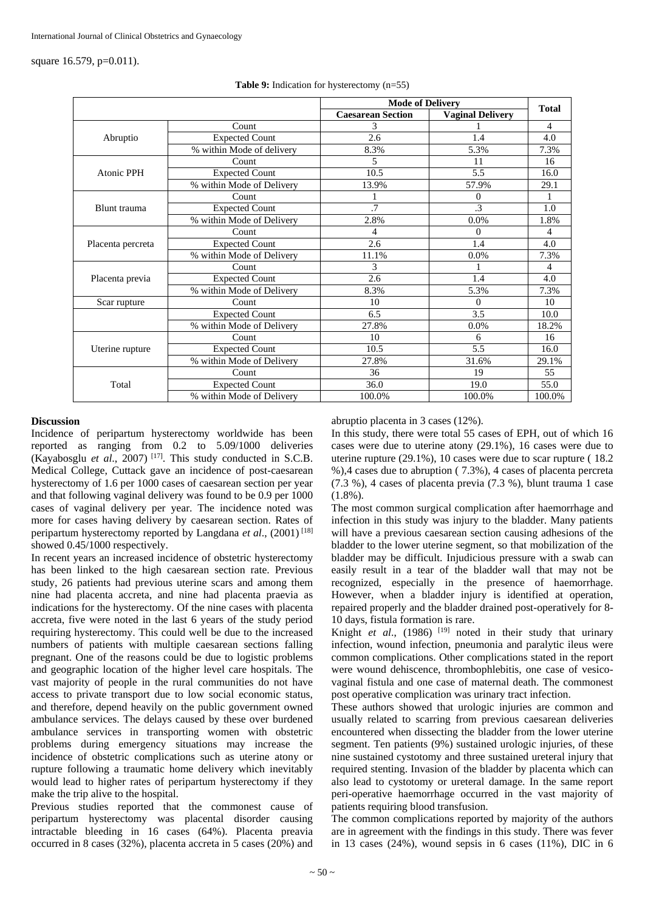square 16.579, p=0.011).

|                   |                           | <b>Mode of Delivery</b>  |                         |              |
|-------------------|---------------------------|--------------------------|-------------------------|--------------|
|                   |                           | <b>Caesarean Section</b> | <b>Vaginal Delivery</b> | <b>Total</b> |
|                   | Count                     | 3                        |                         | 4            |
| Abruptio          | <b>Expected Count</b>     | 2.6                      | 1.4                     | 4.0          |
|                   | % within Mode of delivery | 8.3%                     | 5.3%                    | 7.3%         |
|                   | Count                     | 5                        | 11                      | 16           |
| <b>Atonic PPH</b> | <b>Expected Count</b>     | 10.5                     | 5.5                     | 16.0         |
|                   | % within Mode of Delivery | 13.9%                    | 57.9%                   | 29.1         |
|                   | Count                     |                          | 0                       |              |
| Blunt trauma      | <b>Expected Count</b>     | .7                       | .3                      | 1.0          |
|                   | % within Mode of Delivery | 2.8%                     | 0.0%                    | 1.8%         |
|                   | Count                     | 4                        | 0                       | 4            |
| Placenta percreta | <b>Expected Count</b>     | 2.6                      | 1.4                     | 4.0          |
|                   | % within Mode of Delivery | 11.1%                    | 0.0%                    | 7.3%         |
|                   | Count                     | 3                        |                         | 4            |
| Placenta previa   | <b>Expected Count</b>     | 2.6                      | 1.4                     | 4.0          |
|                   | % within Mode of Delivery | 8.3%                     | 5.3%                    | 7.3%         |
| Scar rupture      | Count                     | 10                       | $\theta$                | 10           |
|                   | <b>Expected Count</b>     | 6.5                      | 3.5                     | 10.0         |
|                   | % within Mode of Delivery | 27.8%                    | $0.0\%$                 | 18.2%        |
|                   | Count                     | 10                       | 6                       | 16           |
| Uterine rupture   | <b>Expected Count</b>     | 10.5                     | 5.5                     | 16.0         |
|                   | % within Mode of Delivery | 27.8%                    | 31.6%                   | 29.1%        |
|                   | Count                     | 36                       | 19                      | 55           |
| Total             | <b>Expected Count</b>     | 36.0                     | 19.0                    | 55.0         |
|                   | % within Mode of Delivery | 100.0%                   | 100.0%                  | 100.0%       |

|  | <b>Table 9:</b> Indication for hysterectomy $(n=55)$ |  |
|--|------------------------------------------------------|--|
|  |                                                      |  |

# **Discussion**

Incidence of peripartum hysterectomy worldwide has been reported as ranging from 0.2 to 5.09/1000 deliveries (Kayabosglu *et al.*, 2007)<sup>[17]</sup>. This study conducted in S.C.B. Medical College, Cuttack gave an incidence of post-caesarean hysterectomy of 1.6 per 1000 cases of caesarean section per year and that following vaginal delivery was found to be 0.9 per 1000 cases of vaginal delivery per year. The incidence noted was more for cases having delivery by caesarean section. Rates of peripartum hysterectomy reported by Langdana *et al*., (2001) [18] showed 0.45/1000 respectively.

In recent years an increased incidence of obstetric hysterectomy has been linked to the high caesarean section rate. Previous study, 26 patients had previous uterine scars and among them nine had placenta accreta, and nine had placenta praevia as indications for the hysterectomy. Of the nine cases with placenta accreta, five were noted in the last 6 years of the study period requiring hysterectomy. This could well be due to the increased numbers of patients with multiple caesarean sections falling pregnant. One of the reasons could be due to logistic problems and geographic location of the higher level care hospitals. The vast majority of people in the rural communities do not have access to private transport due to low social economic status, and therefore, depend heavily on the public government owned ambulance services. The delays caused by these over burdened ambulance services in transporting women with obstetric problems during emergency situations may increase the incidence of obstetric complications such as uterine atony or rupture following a traumatic home delivery which inevitably would lead to higher rates of peripartum hysterectomy if they make the trip alive to the hospital.

Previous studies reported that the commonest cause of peripartum hysterectomy was placental disorder causing intractable bleeding in 16 cases (64%). Placenta preavia occurred in 8 cases (32%), placenta accreta in 5 cases (20%) and

abruptio placenta in 3 cases (12%).

In this study, there were total 55 cases of EPH, out of which 16 cases were due to uterine atony (29.1%), 16 cases were due to uterine rupture (29.1%), 10 cases were due to scar rupture ( 18.2 %),4 cases due to abruption ( 7.3%), 4 cases of placenta percreta (7.3 %), 4 cases of placenta previa (7.3 %), blunt trauma 1 case (1.8%).

The most common surgical complication after haemorrhage and infection in this study was injury to the bladder. Many patients will have a previous caesarean section causing adhesions of the bladder to the lower uterine segment, so that mobilization of the bladder may be difficult. Injudicious pressure with a swab can easily result in a tear of the bladder wall that may not be recognized, especially in the presence of haemorrhage. However, when a bladder injury is identified at operation, repaired properly and the bladder drained post-operatively for 8- 10 days, fistula formation is rare.

Knight *et al.*, (1986) <sup>[19]</sup> noted in their study that urinary infection, wound infection, pneumonia and paralytic ileus were common complications. Other complications stated in the report were wound dehiscence, thrombophlebitis, one case of vesicovaginal fistula and one case of maternal death. The commonest post operative complication was urinary tract infection.

These authors showed that urologic injuries are common and usually related to scarring from previous caesarean deliveries encountered when dissecting the bladder from the lower uterine segment. Ten patients (9%) sustained urologic injuries, of these nine sustained cystotomy and three sustained ureteral injury that required stenting. Invasion of the bladder by placenta which can also lead to cystotomy or ureteral damage. In the same report peri-operative haemorrhage occurred in the vast majority of patients requiring blood transfusion.

The common complications reported by majority of the authors are in agreement with the findings in this study. There was fever in 13 cases  $(24%)$ , wound sepsis in 6 cases  $(11%)$ , DIC in 6